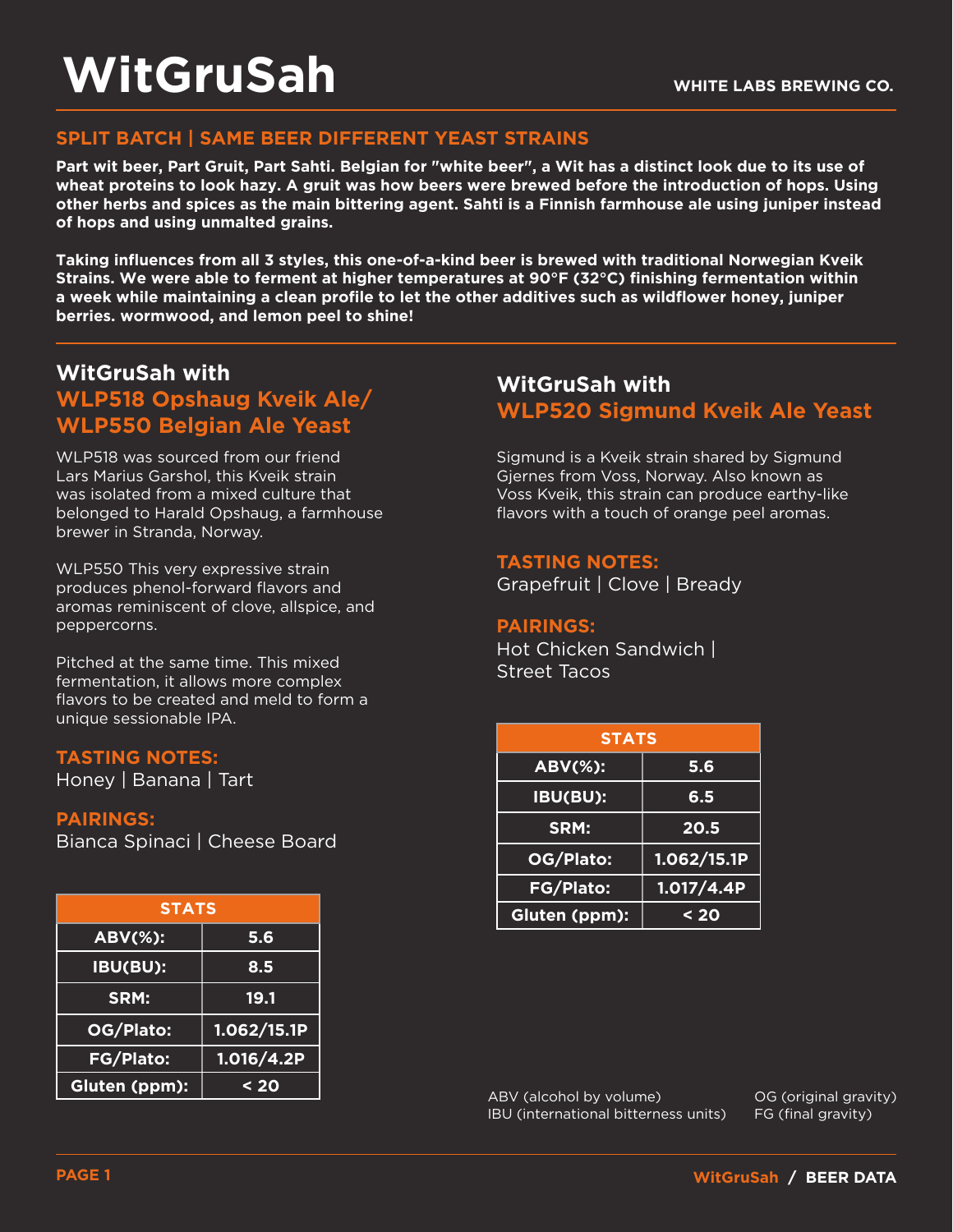### **SPLIT BATCH | SAME BEER DIFFERENT YEAST STRAINS**

**Part wit beer, Part Gruit, Part Sahti. Belgian for "white beer", a Wit has a distinct look due to its use of wheat proteins to look hazy. A gruit was how beers were brewed before the introduction of hops. Using other herbs and spices as the main bittering agent. Sahti is a Finnish farmhouse ale using juniper instead of hops and using unmalted grains.** 

**Taking influences from all 3 styles, this one-of-a-kind beer is brewed with traditional Norwegian Kveik Strains. We were able to ferment at higher temperatures at 90°F (32°C) finishing fermentation within a week while maintaining a clean profile to let the other additives such as wildflower honey, juniper berries. wormwood, and lemon peel to shine!**

## **WitGruSah with WLP518 Opshaug Kveik Ale/ WLP550 Belgian Ale Yeast**

WLP518 was sourced from our friend Lars Marius Garshol, this Kveik strain was isolated from a mixed culture that belonged to Harald Opshaug, a farmhouse brewer in Stranda, Norway.

WLP550 This very expressive strain produces phenol-forward flavors and aromas reminiscent of clove, allspice, and peppercorns.

Pitched at the same time. This mixed fermentation, it allows more complex flavors to be created and meld to form a unique sessionable IPA.

#### **TASTING NOTES:**

Honey | Banana | Tart

#### **PAIRINGS:**

Bianca Spinaci | Cheese Board

| <b>STATS</b>     |             |  |  |  |
|------------------|-------------|--|--|--|
| <b>ABV(%):</b>   | 5.6         |  |  |  |
| IBU(BU):         | 8.5         |  |  |  |
| SRM:             | 19.1        |  |  |  |
| OG/Plato:        | 1.062/15.1P |  |  |  |
| <b>FG/Plato:</b> | 1.016/4.2P  |  |  |  |
| Gluten (ppm):    | $20$        |  |  |  |

# **WitGruSah with WLP520 Sigmund Kveik Ale Yeast**

Sigmund is a Kveik strain shared by Sigmund Gjernes from Voss, Norway. Also known as Voss Kveik, this strain can produce earthy-like flavors with a touch of orange peel aromas.

#### **TASTING NOTES:**

Grapefruit | Clove | Bready

#### **PAIRINGS:**

Hot Chicken Sandwich | Street Tacos

| <b>OTES:</b><br>nana   Tart <sub>i</sub> | <b>STATS</b>   |             |  |
|------------------------------------------|----------------|-------------|--|
|                                          | <b>ABV(%):</b> | 5.6         |  |
|                                          | IBU(BU):       | 6.5         |  |
| <u>naci  </u> Cheese Board               | SRM:           | 20.5        |  |
|                                          | OG/Plato:      | 1.062/15.1P |  |
|                                          | FG/Plato:      | 1.017/4.4P  |  |
| <b>STATS</b>                             | Gluten (ppm):  | $20$        |  |

ABV (alcohol by volume) IBU (international bitterness units) OG (original gravity) FG (final gravity)